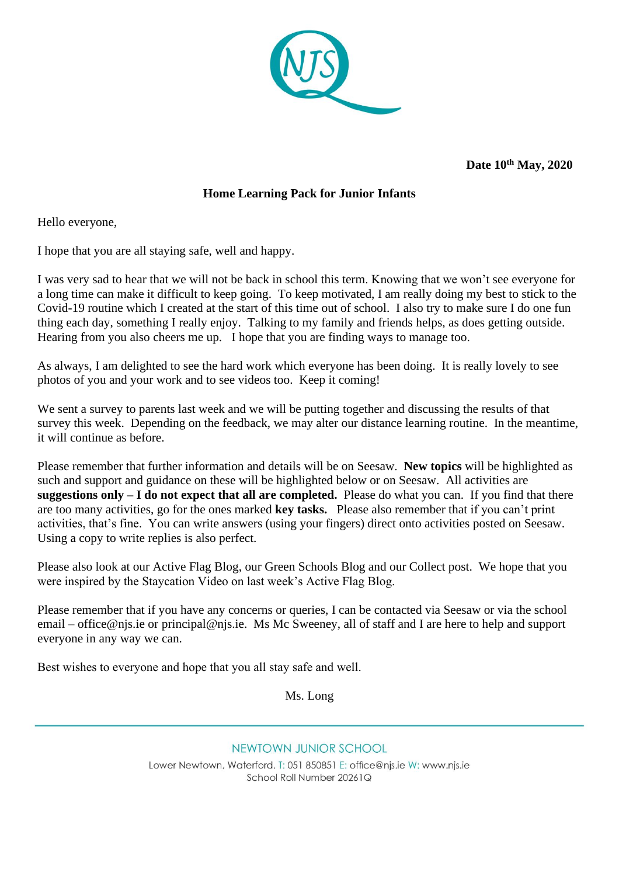

**Date 10th May, 2020** 

## **Home Learning Pack for Junior Infants**

Hello everyone,

I hope that you are all staying safe, well and happy.

I was very sad to hear that we will not be back in school this term. Knowing that we won't see everyone for a long time can make it difficult to keep going. To keep motivated, I am really doing my best to stick to the Covid-19 routine which I created at the start of this time out of school. I also try to make sure I do one fun thing each day, something I really enjoy. Talking to my family and friends helps, as does getting outside. Hearing from you also cheers me up. I hope that you are finding ways to manage too.

As always, I am delighted to see the hard work which everyone has been doing. It is really lovely to see photos of you and your work and to see videos too. Keep it coming!

We sent a survey to parents last week and we will be putting together and discussing the results of that survey this week. Depending on the feedback, we may alter our distance learning routine. In the meantime, it will continue as before.

Please remember that further information and details will be on Seesaw. **New topics** will be highlighted as such and support and guidance on these will be highlighted below or on Seesaw. All activities are **suggestions only – I do not expect that all are completed.** Please do what you can. If you find that there are too many activities, go for the ones marked **key tasks.** Please also remember that if you can't print activities, that's fine. You can write answers (using your fingers) direct onto activities posted on Seesaw. Using a copy to write replies is also perfect.

Please also look at our Active Flag Blog, our Green Schools Blog and our Collect post. We hope that you were inspired by the Staycation Video on last week's Active Flag Blog.

Please remember that if you have any concerns or queries, I can be contacted via Seesaw or via the school email – [office@njs.ie](mailto:office@njs.ie) or [principal@njs.ie.](mailto:principal@njs.ie) Ms Mc Sweeney, all of staff and I are here to help and support everyone in any way we can.

Best wishes to everyone and hope that you all stay safe and well.  

Ms. Long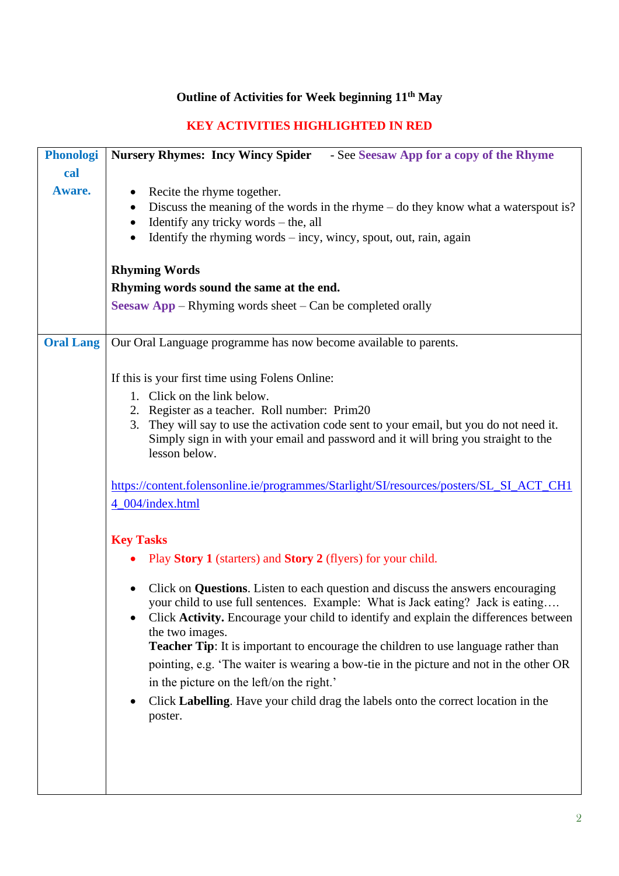## **Outline of Activities for Week beginning 11th May**

## **KEY ACTIVITIES HIGHLIGHTED IN RED**

| <b>Phonologi</b> | Nursery Rhymes: Incy Wincy Spider - See Seesaw App for a copy of the Rhyme                                                                                                                                                                                                                                                                                                        |  |  |  |  |  |
|------------------|-----------------------------------------------------------------------------------------------------------------------------------------------------------------------------------------------------------------------------------------------------------------------------------------------------------------------------------------------------------------------------------|--|--|--|--|--|
| cal              |                                                                                                                                                                                                                                                                                                                                                                                   |  |  |  |  |  |
| Aware.           | Recite the rhyme together.<br>$\bullet$<br>Discuss the meaning of the words in the rhyme – do they know what a waterspout is?<br>٠<br>Identify any tricky words – the, all<br>$\bullet$<br>Identify the rhyming words $-$ incy, wincy, spout, out, rain, again                                                                                                                    |  |  |  |  |  |
|                  | <b>Rhyming Words</b>                                                                                                                                                                                                                                                                                                                                                              |  |  |  |  |  |
|                  | Rhyming words sound the same at the end.                                                                                                                                                                                                                                                                                                                                          |  |  |  |  |  |
|                  | <b>Seesaw App</b> – Rhyming words sheet – Can be completed orally                                                                                                                                                                                                                                                                                                                 |  |  |  |  |  |
| <b>Oral Lang</b> | Our Oral Language programme has now become available to parents.                                                                                                                                                                                                                                                                                                                  |  |  |  |  |  |
|                  | If this is your first time using Folens Online:                                                                                                                                                                                                                                                                                                                                   |  |  |  |  |  |
|                  | 1. Click on the link below.                                                                                                                                                                                                                                                                                                                                                       |  |  |  |  |  |
|                  | 2. Register as a teacher. Roll number: Prim20<br>3. They will say to use the activation code sent to your email, but you do not need it.<br>Simply sign in with your email and password and it will bring you straight to the<br>lesson below.                                                                                                                                    |  |  |  |  |  |
|                  |                                                                                                                                                                                                                                                                                                                                                                                   |  |  |  |  |  |
|                  | https://content.folensonline.ie/programmes/Starlight/SI/resources/posters/SL_SI_ACT_CH1<br>4_004/index.html                                                                                                                                                                                                                                                                       |  |  |  |  |  |
|                  | <b>Key Tasks</b>                                                                                                                                                                                                                                                                                                                                                                  |  |  |  |  |  |
|                  | Play Story 1 (starters) and Story 2 (flyers) for your child.                                                                                                                                                                                                                                                                                                                      |  |  |  |  |  |
|                  | Click on <b>Questions</b> . Listen to each question and discuss the answers encouraging<br>your child to use full sentences. Example: What is Jack eating? Jack is eating<br>Click Activity. Encourage your child to identify and explain the differences between<br>the two images.<br><b>Teacher Tip:</b> It is important to encourage the children to use language rather than |  |  |  |  |  |
|                  | pointing, e.g. 'The waiter is wearing a bow-tie in the picture and not in the other OR<br>in the picture on the left/on the right.'                                                                                                                                                                                                                                               |  |  |  |  |  |
|                  | Click Labelling. Have your child drag the labels onto the correct location in the<br>poster.                                                                                                                                                                                                                                                                                      |  |  |  |  |  |
|                  |                                                                                                                                                                                                                                                                                                                                                                                   |  |  |  |  |  |
|                  |                                                                                                                                                                                                                                                                                                                                                                                   |  |  |  |  |  |
|                  |                                                                                                                                                                                                                                                                                                                                                                                   |  |  |  |  |  |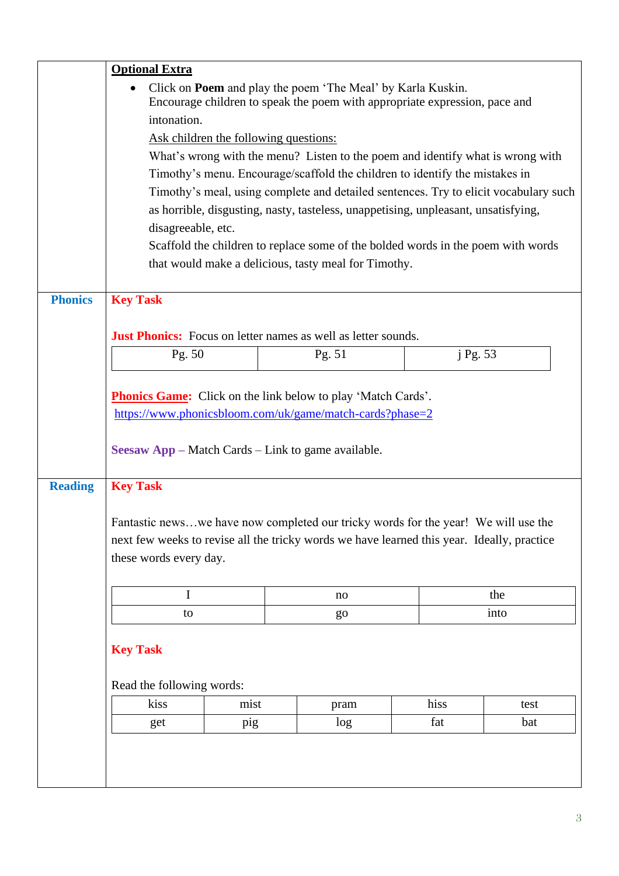|                | <b>Optional Extra</b>                                                                                                                            |      |    |        |      |          |  |
|----------------|--------------------------------------------------------------------------------------------------------------------------------------------------|------|----|--------|------|----------|--|
|                | Click on <b>Poem</b> and play the poem 'The Meal' by Karla Kuskin.<br>Encourage children to speak the poem with appropriate expression, pace and |      |    |        |      |          |  |
|                | intonation.                                                                                                                                      |      |    |        |      |          |  |
|                | Ask children the following questions:                                                                                                            |      |    |        |      |          |  |
|                | What's wrong with the menu? Listen to the poem and identify what is wrong with                                                                   |      |    |        |      |          |  |
|                | Timothy's menu. Encourage/scaffold the children to identify the mistakes in                                                                      |      |    |        |      |          |  |
|                | Timothy's meal, using complete and detailed sentences. Try to elicit vocabulary such                                                             |      |    |        |      |          |  |
|                | as horrible, disgusting, nasty, tasteless, unappetising, unpleasant, unsatisfying,                                                               |      |    |        |      |          |  |
|                | disagreeable, etc.                                                                                                                               |      |    |        |      |          |  |
|                | Scaffold the children to replace some of the bolded words in the poem with words                                                                 |      |    |        |      |          |  |
|                | that would make a delicious, tasty meal for Timothy.                                                                                             |      |    |        |      |          |  |
|                |                                                                                                                                                  |      |    |        |      |          |  |
| <b>Phonics</b> | <b>Key Task</b>                                                                                                                                  |      |    |        |      |          |  |
|                |                                                                                                                                                  |      |    |        |      |          |  |
|                | <b>Just Phonics:</b> Focus on letter names as well as letter sounds.                                                                             |      |    |        |      |          |  |
|                | Pg. 50                                                                                                                                           |      |    | Pg. 51 |      | j Pg. 53 |  |
|                |                                                                                                                                                  |      |    |        |      |          |  |
|                | <b>Phonics Game:</b> Click on the link below to play 'Match Cards'.                                                                              |      |    |        |      |          |  |
|                |                                                                                                                                                  |      |    |        |      |          |  |
|                | https://www.phonicsbloom.com/uk/game/match-cards?phase=2                                                                                         |      |    |        |      |          |  |
|                | <b>Seesaw App – Match Cards – Link to game available.</b>                                                                                        |      |    |        |      |          |  |
|                |                                                                                                                                                  |      |    |        |      |          |  |
| <b>Reading</b> | <b>Key Task</b>                                                                                                                                  |      |    |        |      |          |  |
|                |                                                                                                                                                  |      |    |        |      |          |  |
|                | Fantastic newswe have now completed our tricky words for the year! We will use the                                                               |      |    |        |      |          |  |
|                | next few weeks to revise all the tricky words we have learned this year. Ideally, practice                                                       |      |    |        |      |          |  |
|                | these words every day.                                                                                                                           |      |    |        |      |          |  |
|                |                                                                                                                                                  |      |    |        |      |          |  |
|                | $\mathbf I$                                                                                                                                      |      |    | no     |      | the      |  |
|                | to                                                                                                                                               |      | go |        |      | into     |  |
|                |                                                                                                                                                  |      |    |        |      |          |  |
|                | <b>Key Task</b>                                                                                                                                  |      |    |        |      |          |  |
|                |                                                                                                                                                  |      |    |        |      |          |  |
|                | Read the following words:                                                                                                                        |      |    |        |      |          |  |
|                | kiss                                                                                                                                             | mist |    | pram   | hiss | test     |  |
|                | get                                                                                                                                              | pig  |    | log    | fat  | bat      |  |
|                |                                                                                                                                                  |      |    |        |      |          |  |
|                |                                                                                                                                                  |      |    |        |      |          |  |
|                |                                                                                                                                                  |      |    |        |      |          |  |
|                |                                                                                                                                                  |      |    |        |      |          |  |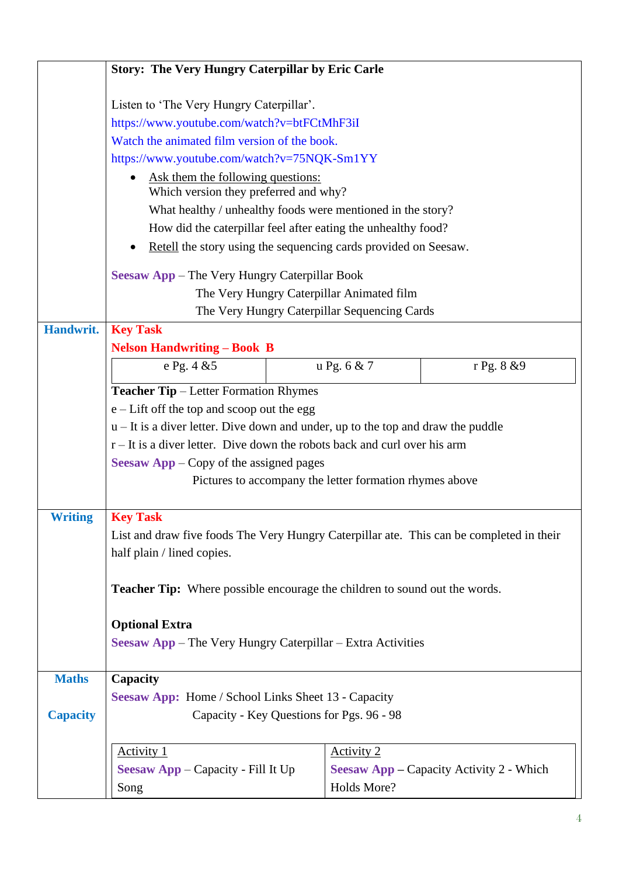|                                               | <b>Story: The Very Hungry Caterpillar by Eric Carle</b>                                                                      |                                                                             |                                                 |  |  |  |
|-----------------------------------------------|------------------------------------------------------------------------------------------------------------------------------|-----------------------------------------------------------------------------|-------------------------------------------------|--|--|--|
|                                               | Listen to 'The Very Hungry Caterpillar'.                                                                                     |                                                                             |                                                 |  |  |  |
|                                               | https://www.youtube.com/watch?v=btFCtMhF3iI                                                                                  |                                                                             |                                                 |  |  |  |
|                                               | Watch the animated film version of the book.                                                                                 |                                                                             |                                                 |  |  |  |
|                                               | https://www.youtube.com/watch?v=75NQK-Sm1YY                                                                                  |                                                                             |                                                 |  |  |  |
|                                               | Ask them the following questions:<br>Which version they preferred and why?                                                   |                                                                             |                                                 |  |  |  |
|                                               | What healthy / unhealthy foods were mentioned in the story?<br>How did the caterpillar feel after eating the unhealthy food? |                                                                             |                                                 |  |  |  |
|                                               |                                                                                                                              |                                                                             |                                                 |  |  |  |
|                                               | Retell the story using the sequencing cards provided on Seesaw.                                                              |                                                                             |                                                 |  |  |  |
| Seesaw App - The Very Hungry Caterpillar Book |                                                                                                                              |                                                                             |                                                 |  |  |  |
|                                               | The Very Hungry Caterpillar Animated film                                                                                    |                                                                             |                                                 |  |  |  |
|                                               |                                                                                                                              | The Very Hungry Caterpillar Sequencing Cards                                |                                                 |  |  |  |
| Handwrit.                                     | <b>Key Task</b>                                                                                                              |                                                                             |                                                 |  |  |  |
|                                               | <b>Nelson Handwriting - Book B</b>                                                                                           |                                                                             |                                                 |  |  |  |
|                                               | e Pg. 4 & 5                                                                                                                  | u Pg. 6 & 7                                                                 | r Pg. 8 & 9                                     |  |  |  |
|                                               | <b>Teacher Tip</b> – Letter Formation Rhymes                                                                                 |                                                                             |                                                 |  |  |  |
|                                               | $e$ – Lift off the top and scoop out the egg                                                                                 |                                                                             |                                                 |  |  |  |
|                                               | $u$ – It is a diver letter. Dive down and under, up to the top and draw the puddle                                           |                                                                             |                                                 |  |  |  |
|                                               |                                                                                                                              | $r - It$ is a diver letter. Dive down the robots back and curl over his arm |                                                 |  |  |  |
| Seesaw App – Copy of the assigned pages       |                                                                                                                              |                                                                             |                                                 |  |  |  |
|                                               | Pictures to accompany the letter formation rhymes above                                                                      |                                                                             |                                                 |  |  |  |
| <b>Writing</b>                                | <b>Key Task</b>                                                                                                              |                                                                             |                                                 |  |  |  |
|                                               | List and draw five foods The Very Hungry Caterpillar ate. This can be completed in their                                     |                                                                             |                                                 |  |  |  |
|                                               | half plain / lined copies.                                                                                                   |                                                                             |                                                 |  |  |  |
|                                               | <b>Teacher Tip:</b> Where possible encourage the children to sound out the words.                                            |                                                                             |                                                 |  |  |  |
|                                               | <b>Optional Extra</b>                                                                                                        |                                                                             |                                                 |  |  |  |
|                                               | <b>Seesaw App</b> – The Very Hungry Caterpillar – Extra Activities                                                           |                                                                             |                                                 |  |  |  |
| <b>Maths</b>                                  | Capacity                                                                                                                     |                                                                             |                                                 |  |  |  |
|                                               | <b>Seesaw App:</b> Home / School Links Sheet 13 - Capacity                                                                   |                                                                             |                                                 |  |  |  |
| <b>Capacity</b>                               | Capacity - Key Questions for Pgs. 96 - 98                                                                                    |                                                                             |                                                 |  |  |  |
|                                               | <b>Activity 1</b>                                                                                                            | <b>Activity 2</b>                                                           |                                                 |  |  |  |
|                                               | Seesaw App - Capacity - Fill It Up                                                                                           |                                                                             | <b>Seesaw App – Capacity Activity 2 - Which</b> |  |  |  |
|                                               | Song                                                                                                                         | Holds More?                                                                 |                                                 |  |  |  |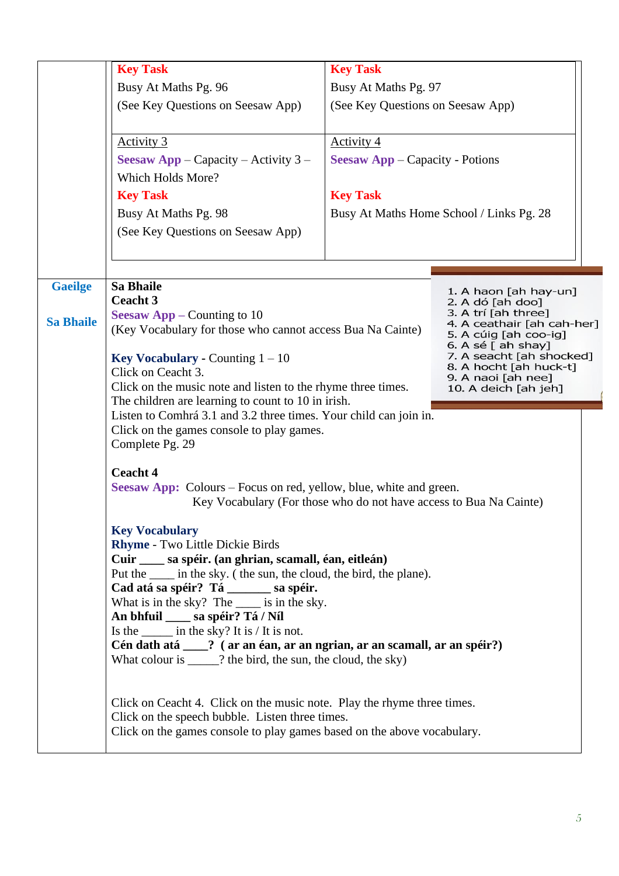|                                    | <b>Key Task</b><br>Busy At Maths Pg. 96<br>(See Key Questions on Seesaw App)<br><u>Activity 3</u><br><b>Seesaw App</b> – Capacity – Activity $3$ –<br>Which Holds More?<br><b>Key Task</b>                                                                                                                                                                                                                                                                                                                                                                                                                                                                                                                                                                                                                                                                                                                                                                                                                                                                                                          | <b>Key Task</b><br>Busy At Maths Pg. 97<br>(See Key Questions on Seesaw App)<br><b>Activity 4</b><br><b>Seesaw App</b> – Capacity - Potions<br><b>Key Task</b> |                                          |  |
|------------------------------------|-----------------------------------------------------------------------------------------------------------------------------------------------------------------------------------------------------------------------------------------------------------------------------------------------------------------------------------------------------------------------------------------------------------------------------------------------------------------------------------------------------------------------------------------------------------------------------------------------------------------------------------------------------------------------------------------------------------------------------------------------------------------------------------------------------------------------------------------------------------------------------------------------------------------------------------------------------------------------------------------------------------------------------------------------------------------------------------------------------|----------------------------------------------------------------------------------------------------------------------------------------------------------------|------------------------------------------|--|
|                                    | Busy At Maths Pg. 98<br>(See Key Questions on Seesaw App)                                                                                                                                                                                                                                                                                                                                                                                                                                                                                                                                                                                                                                                                                                                                                                                                                                                                                                                                                                                                                                           |                                                                                                                                                                | Busy At Maths Home School / Links Pg. 28 |  |
| <b>Gaeilge</b><br><b>Sa Bhaile</b> | <b>Sa Bhaile</b><br>1. A haon [ah hay-un]<br><b>Ceacht 3</b><br>2. A dó [ah doo]<br>3. A trí [ah three]<br><b>Seesaw App – Counting to 10</b><br>4. A ceathair [ah cah-her]<br>(Key Vocabulary for those who cannot access Bua Na Cainte)<br>5. A cúig [ah coo-ig]<br>6. A sé [ ah shay]<br>7. A seacht [ah shocked]<br><b>Key Vocabulary - Counting <math>1 - 10</math></b><br>8. A hocht [ah huck-t]<br>Click on Ceacht 3.<br>9. A naoi [ah nee]<br>Click on the music note and listen to the rhyme three times.<br>10. A deich [ah jeh]<br>The children are learning to count to 10 in irish.<br>Listen to Comhrá 3.1 and 3.2 three times. Your child can join in.<br>Click on the games console to play games.                                                                                                                                                                                                                                                                                                                                                                                  |                                                                                                                                                                |                                          |  |
|                                    | Complete Pg. 29<br><b>Ceacht 4</b><br><b>Seesaw App:</b> Colours – Focus on red, yellow, blue, white and green.<br>Key Vocabulary (For those who do not have access to Bua Na Cainte)<br><b>Key Vocabulary</b><br>Rhyme - Two Little Dickie Birds<br>Cuir ____ sa spéir. (an ghrian, scamall, éan, eitleán)<br>Put the _____ in the sky. (the sun, the cloud, the bird, the plane).<br>Cad atá sa spéir? Tá _________ sa spéir.<br>What is in the sky? The _____ is in the sky.<br>An bhfuil _____ sa spéir? Tá / Níl<br>Is the $\frac{1}{\sqrt{1 + \frac{1}{\sqrt{1 + \frac{1}{\sqrt{1 + \frac{1}{\sqrt{1 + \frac{1}{\sqrt{1 + \frac{1}{\sqrt{1 + \frac{1}{\sqrt{1 + \frac{1}{\sqrt{1 + \frac{1}{\sqrt{1 + \frac{1}{\sqrt{1 + \frac{1}{\sqrt{1 + \frac{1}{\sqrt{1 + \frac{1}{\sqrt{1 + \frac{1}{\sqrt{1 + \frac{1}{\sqrt{1 + \frac{1}{\sqrt{1 + \frac{1}{\sqrt{1 + \frac{1}{\sqrt{1 + \frac{1}{\sqrt{1 + \frac{1}{\sqrt{1 + \frac{1}{\sqrt{1 + \frac{$<br>Cén dath atá ___? (ar an éan, ar an ngrian, ar an scamall, ar an spéir?)<br>What colour is _____? the bird, the sun, the cloud, the sky) |                                                                                                                                                                |                                          |  |
|                                    | Click on Ceacht 4. Click on the music note. Play the rhyme three times.<br>Click on the speech bubble. Listen three times.<br>Click on the games console to play games based on the above vocabulary.                                                                                                                                                                                                                                                                                                                                                                                                                                                                                                                                                                                                                                                                                                                                                                                                                                                                                               |                                                                                                                                                                |                                          |  |